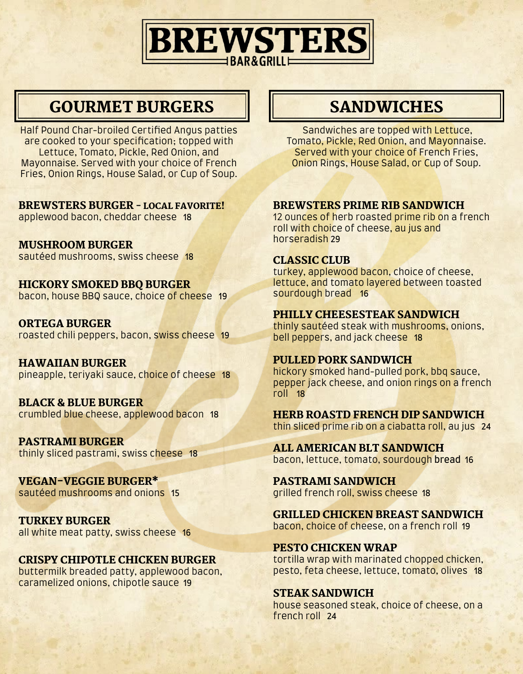

## GOURMET BURGERS II SANDWICHES

Half Pound Char-broiled Certified Angus patties are cooked to your specification; topped with Lettuce, Tomato, Pickle, Red Onion, and Mayonnaise. Served with your choice of French Fries, Onion Rings, House Salad, or Cup of Soup.

#### BREWSTERS BURGER - LOCAL FAVORITE!

applewood bacon, cheddar cheese 18

MUSHROOM BURGER sautéed mushrooms, swiss cheese 18

HICKORY SMOKED BBQ BURGER bacon, house BBQ sauce, choice of cheese 19

ORTEGA BURGER roasted chili peppers, bacon, swiss cheese 19

HAWAIIAN BURGER pineapple, teriyaki sauce, choice of cheese 18

BLACK & BLUE BURGER crumbled blue cheese, applewood bacon 18

PASTRAMI BURGER thinly sliced pastrami, swiss cheese 18

VEGAN-VEGGIE BURGER\* sautéed mushrooms and onions 15

TURKEY BURGER all white meat patty, swiss cheese 16

#### CRISPY CHIPOTLE CHICKEN BURGER

buttermilk breaded patty, applewood bacon, caramelized onions, chipotle sauce 19

 Sandwiches are topped with Lettuce, Tomato, Pickle, Red Onion, and Mayonnaise. Served with your choice of French Fries, Onion Rings, House Salad, or Cup of Soup.

#### BREWSTERS PRIME RIB SANDWICH

12 ounces of herb roasted prime rib on a french roll with choice of cheese, au jus and horseradish 29

#### CLASSIC CLUB

turkey, applewood bacon, choice of cheese, lettuce, and tomato layered between toasted sourdough bread 16

#### PHILLY CHEESESTEAK SANDWICH

thinly sautéed steak with mushrooms, onions, bell peppers, and jack cheese 18

#### PULLED PORK SANDWICH

hickory smoked hand-pulled pork, bbq sauce, pepper jack cheese, and onion rings on a french roll 18

HERB ROASTD FRENCH DIP SANDWICH thin sliced prime rib on a ciabatta roll, au jus 24

ALL AMERICAN BLT SANDWICH bacon, lettuce, tomato, sourdough bread 16

PASTRAMI SANDWICH grilled french roll, swiss cheese 18

GRILLED CHICKEN BREAST SANDWICH bacon, choice of cheese, on a french roll 19

PESTO CHICKEN WRAP tortilla wrap with marinated chopped chicken, pesto, feta cheese, lettuce, tomato, olives 18

#### STEAK SANDWICH

house seasoned steak, choice of cheese, on a french roll 24